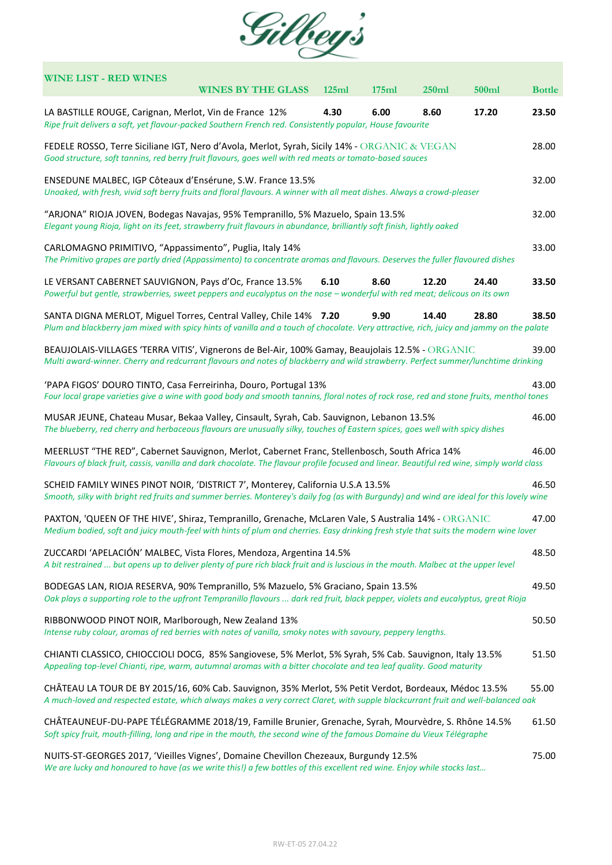

| <b>WINE LIST - RED WINES</b><br><b>WINES BY THE GLASS</b><br>125ml<br>175ml                                                                                                                                                                            | 250ml | 500ml | <b>Bottle</b> |  |  |  |  |
|--------------------------------------------------------------------------------------------------------------------------------------------------------------------------------------------------------------------------------------------------------|-------|-------|---------------|--|--|--|--|
| 6.00<br>LA BASTILLE ROUGE, Carignan, Merlot, Vin de France 12%<br>4.30<br>Ripe fruit delivers a soft, yet flavour-packed Southern French red. Consistently popular, House favourite                                                                    | 8.60  | 17.20 | 23.50         |  |  |  |  |
| FEDELE ROSSO, Terre Siciliane IGT, Nero d'Avola, Merlot, Syrah, Sicily 14% - ORGANIC & VEGAN<br>Good structure, soft tannins, red berry fruit flavours, goes well with red meats or tomato-based sauces                                                |       |       |               |  |  |  |  |
| ENSEDUNE MALBEC, IGP Côteaux d'Ensérune, S.W. France 13.5%<br>Unoaked, with fresh, vivid soft berry fruits and floral flavours. A winner with all meat dishes. Always a crowd-pleaser                                                                  |       |       |               |  |  |  |  |
| "ARJONA" RIOJA JOVEN, Bodegas Navajas, 95% Tempranillo, 5% Mazuelo, Spain 13.5%<br>Elegant young Rioja, light on its feet, strawberry fruit flavours in abundance, brilliantly soft finish, lightly oaked                                              |       |       |               |  |  |  |  |
| CARLOMAGNO PRIMITIVO, "Appassimento", Puglia, Italy 14%<br>The Primitivo grapes are partly dried (Appassimento) to concentrate aromas and flavours. Deserves the fuller flavoured dishes                                                               |       |       | 33.00         |  |  |  |  |
| 8.60<br>LE VERSANT CABERNET SAUVIGNON, Pays d'Oc, France 13.5%<br>6.10<br>Powerful but gentle, strawberries, sweet peppers and eucalyptus on the nose - wonderful with red meat; delicous on its own                                                   | 12.20 | 24.40 | 33.50         |  |  |  |  |
| SANTA DIGNA MERLOT, Miguel Torres, Central Valley, Chile 14% 7.20<br>9.90<br>Plum and blackberry jam mixed with spicy hints of vanilla and a touch of chocolate. Very attractive, rich, juicy and jammy on the palate                                  | 14.40 | 28.80 | 38.50         |  |  |  |  |
| BEAUJOLAIS-VILLAGES 'TERRA VITIS', Vignerons de Bel-Air, 100% Gamay, Beaujolais 12.5% - ORGANIC<br>39.00<br>Multi award-winner. Cherry and redcurrant flavours and notes of blackberry and wild strawberry. Perfect summer/lunchtime drinking          |       |       |               |  |  |  |  |
| 'PAPA FIGOS' DOURO TINTO, Casa Ferreirinha, Douro, Portugal 13%<br>Four local grape varieties give a wine with good body and smooth tannins, floral notes of rock rose, red and stone fruits, menthol tones                                            |       |       |               |  |  |  |  |
| MUSAR JEUNE, Chateau Musar, Bekaa Valley, Cinsault, Syrah, Cab. Sauvignon, Lebanon 13.5%<br>46.00<br>The blueberry, red cherry and herbaceous flavours are unusually silky, touches of Eastern spices, goes well with spicy dishes                     |       |       |               |  |  |  |  |
| MEERLUST "THE RED", Cabernet Sauvignon, Merlot, Cabernet Franc, Stellenbosch, South Africa 14%<br>46.00<br>Flavours of black fruit, cassis, vanilla and dark chocolate. The flavour profile focused and linear. Beautiful red wine, simply world class |       |       |               |  |  |  |  |
| SCHEID FAMILY WINES PINOT NOIR, 'DISTRICT 7', Monterey, California U.S.A 13.5%<br>46.50<br>Smooth, silky with bright red fruits and summer berries. Monterey's daily fog (as with Burgundy) and wind are ideal for this lovely wine                    |       |       |               |  |  |  |  |
| PAXTON, 'QUEEN OF THE HIVE', Shiraz, Tempranillo, Grenache, McLaren Vale, S Australia 14% - ORGANIC<br>47.00<br>Medium bodied, soft and juicy mouth-feel with hints of plum and cherries. Easy drinking fresh style that suits the modern wine lover   |       |       |               |  |  |  |  |
| ZUCCARDI 'APELACIÓN' MALBEC, Vista Flores, Mendoza, Argentina 14.5%<br>A bit restrained  but opens up to deliver plenty of pure rich black fruit and is luscious in the mouth. Malbec at the upper level                                               |       |       |               |  |  |  |  |
| 49.50<br>BODEGAS LAN, RIOJA RESERVA, 90% Tempranillo, 5% Mazuelo, 5% Graciano, Spain 13.5%<br>Oak plays a supporting role to the upfront Tempranillo flavours  dark red fruit, black pepper, violets and eucalyptus, great Rioja                       |       |       |               |  |  |  |  |
| RIBBONWOOD PINOT NOIR, Marlborough, New Zealand 13%<br>Intense ruby colour, aromas of red berries with notes of vanilla, smoky notes with savoury, peppery lengths.                                                                                    |       |       | 50.50         |  |  |  |  |
| CHIANTI CLASSICO, CHIOCCIOLI DOCG, 85% Sangiovese, 5% Merlot, 5% Syrah, 5% Cab. Sauvignon, Italy 13.5%<br>Appealing top-level Chianti, ripe, warm, autumnal aromas with a bitter chocolate and tea leaf quality. Good maturity                         |       |       |               |  |  |  |  |
| CHÂTEAU LA TOUR DE BY 2015/16, 60% Cab. Sauvignon, 35% Merlot, 5% Petit Verdot, Bordeaux, Médoc 13.5%<br>A much-loved and respected estate, which always makes a very correct Claret, with supple blackcurrant fruit and well-balanced oak             |       |       |               |  |  |  |  |
| CHÂTEAUNEUF-DU-PAPE TÉLÉGRAMME 2018/19, Famille Brunier, Grenache, Syrah, Mourvèdre, S. Rhône 14.5%<br>Soft spicy fruit, mouth-filling, long and ripe in the mouth, the second wine of the famous Domaine du Vieux Télégraphe                          |       |       | 61.50         |  |  |  |  |
| NUITS-ST-GEORGES 2017, 'Vieilles Vignes', Domaine Chevillon Chezeaux, Burgundy 12.5%<br>We are lucky and honoured to have (as we write this!) a few bottles of this excellent red wine. Enjoy while stocks last                                        |       |       |               |  |  |  |  |